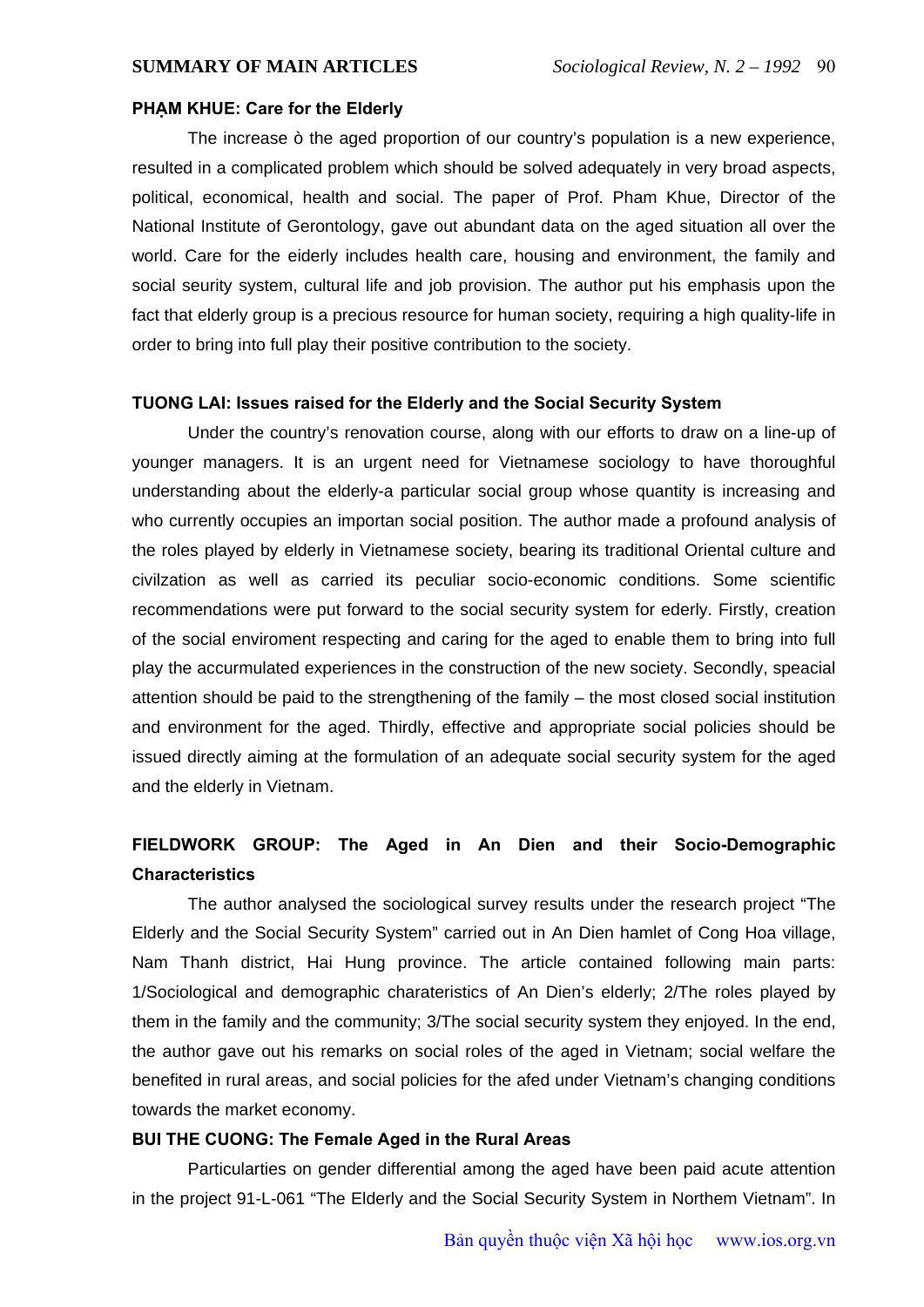### **PHẠM KHUE: Care for the Elderly**

 The increase ò the aged proportion of our country's population is a new experience, resulted in a complicated problem which should be solved adequately in very broad aspects, political, economical, health and social. The paper of Prof. Pham Khue, Director of the National Institute of Gerontology, gave out abundant data on the aged situation all over the world. Care for the eiderly includes health care, housing and environment, the family and social seurity system, cultural life and job provision. The author put his emphasis upon the fact that elderly group is a precious resource for human society, requiring a high quality-life in order to bring into full play their positive contribution to the society.

## **TUONG LAI: Issues raised for the Elderly and the Social Security System**

 Under the country's renovation course, along with our efforts to draw on a line-up of younger managers. It is an urgent need for Vietnamese sociology to have thoroughful understanding about the elderly-a particular social group whose quantity is increasing and who currently occupies an importan social position. The author made a profound analysis of the roles played by elderly in Vietnamese society, bearing its traditional Oriental culture and civilzation as well as carried its peculiar socio-economic conditions. Some scientific recommendations were put forward to the social security system for ederly. Firstly, creation of the social enviroment respecting and caring for the aged to enable them to bring into full play the accurmulated experiences in the construction of the new society. Secondly, speacial attention should be paid to the strengthening of the family – the most closed social institution and environment for the aged. Thirdly, effective and appropriate social policies should be issued directly aiming at the formulation of an adequate social security system for the aged and the elderly in Vietnam.

# **FIELDWORK GROUP: The Aged in An Dien and their Socio-Demographic Characteristics**

 The author analysed the sociological survey results under the research project "The Elderly and the Social Security System" carried out in An Dien hamlet of Cong Hoa village, Nam Thanh district, Hai Hung province. The article contained following main parts: 1/Sociological and demographic charateristics of An Dien's elderly; 2/The roles played by them in the family and the community; 3/The social security system they enjoyed. In the end, the author gave out his remarks on social roles of the aged in Vietnam; social welfare the benefited in rural areas, and social policies for the afed under Vietnam's changing conditions towards the market economy.

### **BUI THE CUONG: The Female Aged in the Rural Areas**

 Particularties on gender differential among the aged have been paid acute attention in the project 91-L-061 "The Elderly and the Social Security System in Northem Vietnam". In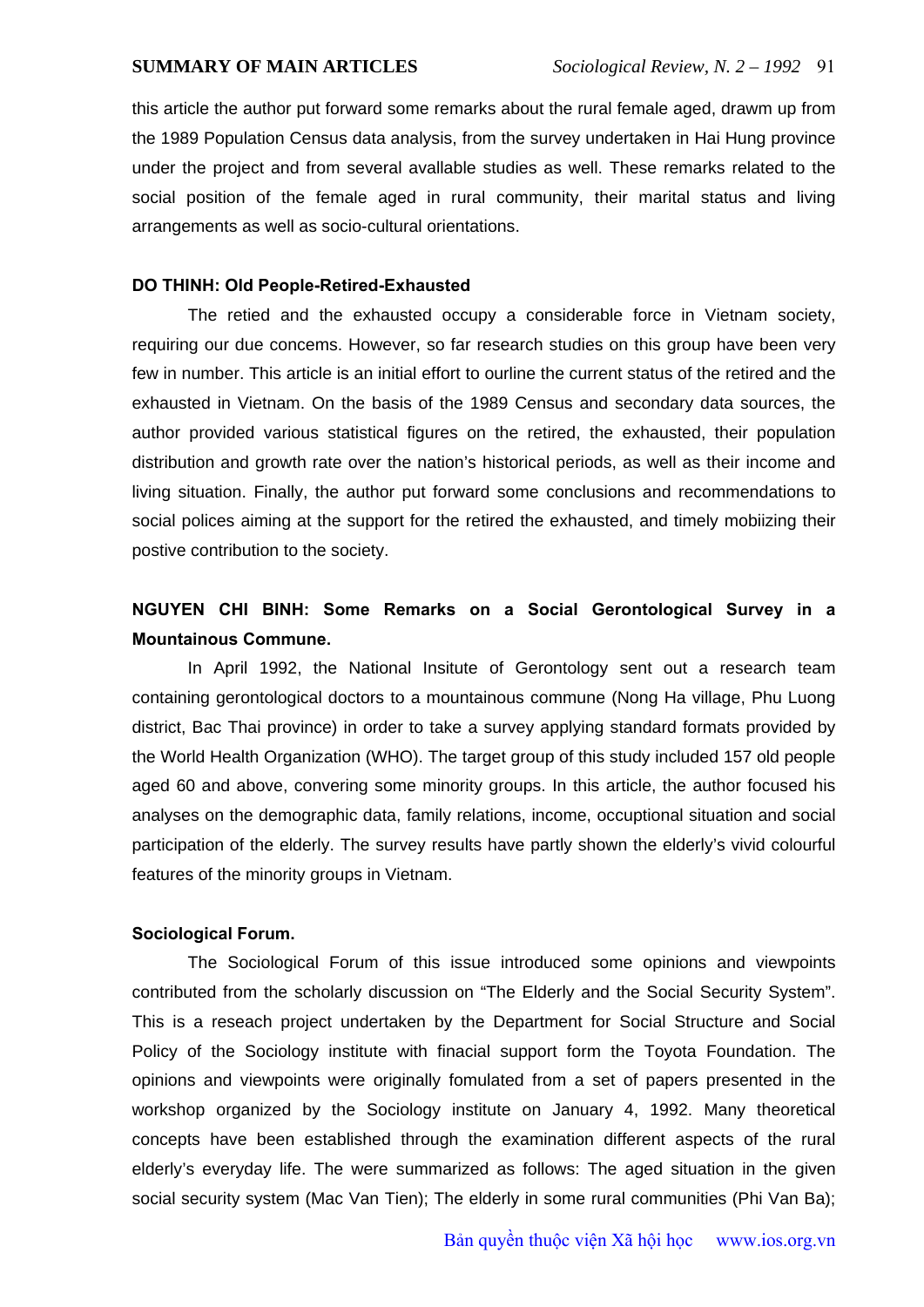this article the author put forward some remarks about the rural female aged, drawm up from the 1989 Population Census data analysis, from the survey undertaken in Hai Hung province under the project and from several avallable studies as well. These remarks related to the social position of the female aged in rural community, their marital status and living arrangements as well as socio-cultural orientations.

### **DO THINH: Old People-Retired-Exhausted**

 The retied and the exhausted occupy a considerable force in Vietnam society, requiring our due concems. However, so far research studies on this group have been very few in number. This article is an initial effort to ourline the current status of the retired and the exhausted in Vietnam. On the basis of the 1989 Census and secondary data sources, the author provided various statistical figures on the retired, the exhausted, their population distribution and growth rate over the nation's historical periods, as well as their income and living situation. Finally, the author put forward some conclusions and recommendations to social polices aiming at the support for the retired the exhausted, and timely mobiizing their postive contribution to the society.

# **NGUYEN CHI BINH: Some Remarks on a Social Gerontological Survey in a Mountainous Commune.**

 In April 1992, the National Insitute of Gerontology sent out a research team containing gerontological doctors to a mountainous commune (Nong Ha village, Phu Luong district, Bac Thai province) in order to take a survey applying standard formats provided by the World Health Organization (WHO). The target group of this study included 157 old people aged 60 and above, convering some minority groups. In this article, the author focused his analyses on the demographic data, family relations, income, occuptional situation and social participation of the elderly. The survey results have partly shown the elderly's vivid colourful features of the minority groups in Vietnam.

### **Sociological Forum.**

 The Sociological Forum of this issue introduced some opinions and viewpoints contributed from the scholarly discussion on "The Elderly and the Social Security System". This is a reseach project undertaken by the Department for Social Structure and Social Policy of the Sociology institute with finacial support form the Toyota Foundation. The opinions and viewpoints were originally fomulated from a set of papers presented in the workshop organized by the Sociology institute on January 4, 1992. Many theoretical concepts have been established through the examination different aspects of the rural elderly's everyday life. The were summarized as follows: The aged situation in the given social security system (Mac Van Tien); The elderly in some rural communities (Phi Van Ba);